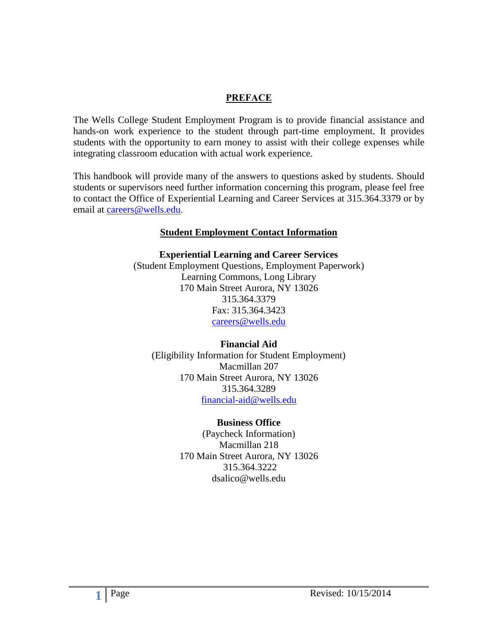#### **PREFACE**

The Wells College Student Employment Program is to provide financial assistance and hands-on work experience to the student through part-time employment. It provides students with the opportunity to earn money to assist with their college expenses while integrating classroom education with actual work experience.

This handbook will provide many of the answers to questions asked by students. Should students or supervisors need further information concerning this program, please feel free to contact the Office of Experiential Learning and Career Services at 315.364.3379 or by email at [careers@wells.edu.](mailto:careers@wells.edu)

#### **Student Employment Contact Information**

**Experiential Learning and Career Services** (Student Employment Questions, Employment Paperwork) Learning Commons, Long Library 170 Main Street Aurora, NY 13026 315.364.3379 Fax: 315.364.3423 [careers@wells.edu](mailto:careers@wells.edu)

**Financial Aid** (Eligibility Information for Student Employment)

Macmillan 207 170 Main Street Aurora, NY 13026 315.364.3289 [financial-aid@wells.edu](mailto:financial-aid@wells.edu)

#### **Business Office**

(Paycheck Information) Macmillan 218 170 Main Street Aurora, NY 13026 315.364.3222 dsalico@wells.edu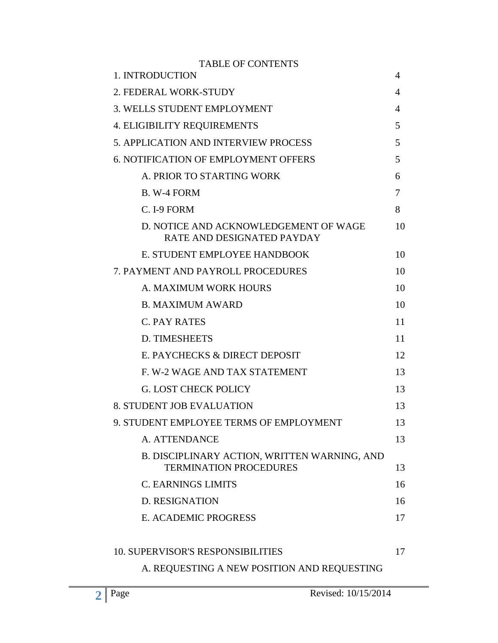| <b>TABLE OF CONTENTS</b>                                                      |    |
|-------------------------------------------------------------------------------|----|
| 1. INTRODUCTION                                                               | 4  |
| 2. FEDERAL WORK-STUDY                                                         | 4  |
| <b>3. WELLS STUDENT EMPLOYMENT</b>                                            | 4  |
| <b>4. ELIGIBILITY REQUIREMENTS</b>                                            | 5  |
| <b>5. APPLICATION AND INTERVIEW PROCESS</b>                                   | 5  |
| <b>6. NOTIFICATION OF EMPLOYMENT OFFERS</b>                                   | 5  |
| A. PRIOR TO STARTING WORK                                                     | 6  |
| B. W-4 FORM                                                                   | 7  |
| C. I-9 FORM                                                                   | 8  |
| D. NOTICE AND ACKNOWLEDGEMENT OF WAGE<br><b>RATE AND DESIGNATED PAYDAY</b>    | 10 |
| E. STUDENT EMPLOYEE HANDBOOK                                                  | 10 |
| 7. PAYMENT AND PAYROLL PROCEDURES                                             | 10 |
| A. MAXIMUM WORK HOURS                                                         | 10 |
| <b>B. MAXIMUM AWARD</b>                                                       | 10 |
| <b>C. PAY RATES</b>                                                           | 11 |
| <b>D. TIMESHEETS</b>                                                          | 11 |
| E. PAYCHECKS & DIRECT DEPOSIT                                                 | 12 |
| F. W-2 WAGE AND TAX STATEMENT                                                 | 13 |
| <b>G. LOST CHECK POLICY</b>                                                   | 13 |
| <b>8. STUDENT JOB EVALUATION</b>                                              | 13 |
| 9. STUDENT EMPLOYEE TERMS OF EMPLOYMENT                                       | 13 |
| A. ATTENDANCE                                                                 | 13 |
| B. DISCIPLINARY ACTION, WRITTEN WARNING, AND<br><b>TERMINATION PROCEDURES</b> | 13 |
| <b>C. EARNINGS LIMITS</b>                                                     | 16 |
| <b>D. RESIGNATION</b>                                                         | 16 |
| E. ACADEMIC PROGRESS                                                          | 17 |
| <b>10. SUPERVISOR'S RESPONSIBILITIES</b>                                      | 17 |
| A. REQUESTING A NEW POSITION AND REQUESTING                                   |    |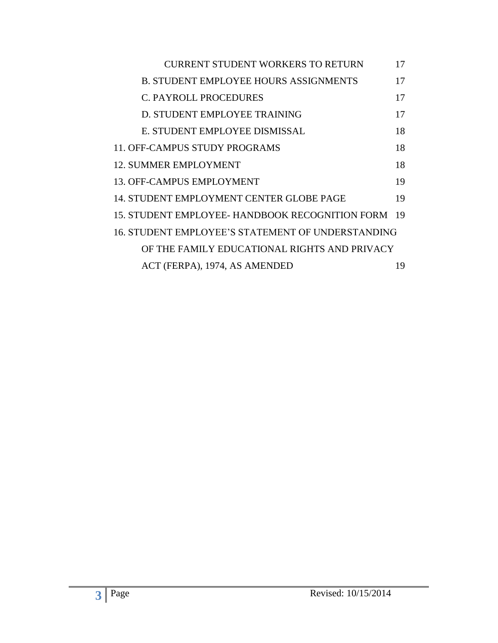| <b>CURRENT STUDENT WORKERS TO RETURN</b>           | 17 |
|----------------------------------------------------|----|
| <b>B. STUDENT EMPLOYEE HOURS ASSIGNMENTS</b>       | 17 |
| <b>C. PAYROLL PROCEDURES</b>                       | 17 |
| D. STUDENT EMPLOYEE TRAINING                       | 17 |
| E. STUDENT EMPLOYEE DISMISSAL                      | 18 |
| 11. OFF-CAMPUS STUDY PROGRAMS                      | 18 |
| 12. SUMMER EMPLOYMENT                              | 18 |
| 13. OFF-CAMPUS EMPLOYMENT                          | 19 |
| 14. STUDENT EMPLOYMENT CENTER GLOBE PAGE           | 19 |
| 15. STUDENT EMPLOYEE- HANDBOOK RECOGNITION FORM 19 |    |
| 16. STUDENT EMPLOYEE'S STATEMENT OF UNDERSTANDING  |    |
| OF THE FAMILY EDUCATIONAL RIGHTS AND PRIVACY       |    |
| ACT (FERPA), 1974, AS AMENDED                      | 19 |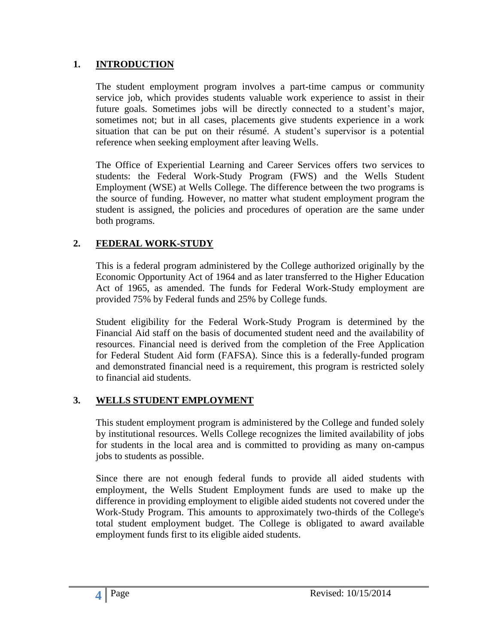#### **1. INTRODUCTION**

The student employment program involves a part-time campus or community service job, which provides students valuable work experience to assist in their future goals. Sometimes jobs will be directly connected to a student's major, sometimes not; but in all cases, placements give students experience in a work situation that can be put on their résumé. A student's supervisor is a potential reference when seeking employment after leaving Wells.

The Office of Experiential Learning and Career Services offers two services to students: the Federal Work-Study Program (FWS) and the Wells Student Employment (WSE) at Wells College. The difference between the two programs is the source of funding. However, no matter what student employment program the student is assigned, the policies and procedures of operation are the same under both programs.

### **2. FEDERAL WORK-STUDY**

This is a federal program administered by the College authorized originally by the Economic Opportunity Act of 1964 and as later transferred to the Higher Education Act of 1965, as amended. The funds for Federal Work-Study employment are provided 75% by Federal funds and 25% by College funds.

Student eligibility for the Federal Work-Study Program is determined by the Financial Aid staff on the basis of documented student need and the availability of resources. Financial need is derived from the completion of the Free Application for Federal Student Aid form (FAFSA). Since this is a federally-funded program and demonstrated financial need is a requirement, this program is restricted solely to financial aid students.

#### **3. WELLS STUDENT EMPLOYMENT**

This student employment program is administered by the College and funded solely by institutional resources. Wells College recognizes the limited availability of jobs for students in the local area and is committed to providing as many on-campus jobs to students as possible.

Since there are not enough federal funds to provide all aided students with employment, the Wells Student Employment funds are used to make up the difference in providing employment to eligible aided students not covered under the Work-Study Program. This amounts to approximately two-thirds of the College's total student employment budget. The College is obligated to award available employment funds first to its eligible aided students.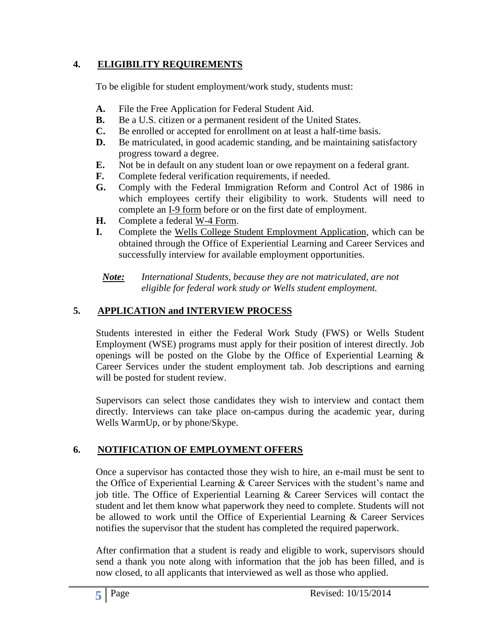### **4. ELIGIBILITY REQUIREMENTS**

To be eligible for student employment/work study, students must:

- **A.** File the Free Application for Federal Student Aid.
- **B.** Be a U.S. citizen or a permanent resident of the United States.
- **C.** Be enrolled or accepted for enrollment on at least a half-time basis.
- **D.** Be matriculated, in good academic standing, and be maintaining satisfactory progress toward a degree.
- **E.** Not be in default on any student loan or owe repayment on a federal grant.
- **F.** Complete federal verification requirements, if needed.
- **G.** Comply with the Federal Immigration Reform and Control Act of 1986 in which employees certify their eligibility to work. Students will need to complete an I-9 form before or on the first date of employment.
- **H.** Complete a federal W-4 Form.
- **I.** Complete the Wells College Student Employment Application, which can be obtained through the Office of Experiential Learning and Career Services and successfully interview for available employment opportunities.

*Note: International Students, because they are not matriculated, are not eligible for federal work study or Wells student employment.*

# **5. APPLICATION and INTERVIEW PROCESS**

Students interested in either the Federal Work Study (FWS) or Wells Student Employment (WSE) programs must apply for their position of interest directly. Job openings will be posted on the Globe by the Office of Experiential Learning  $\&$ Career Services under the student employment tab. Job descriptions and earning will be posted for student review.

Supervisors can select those candidates they wish to interview and contact them directly. Interviews can take place on-campus during the academic year, during Wells WarmUp, or by phone/Skype.

# **6. NOTIFICATION OF EMPLOYMENT OFFERS**

Once a supervisor has contacted those they wish to hire, an e-mail must be sent to the Office of Experiential Learning & Career Services with the student's name and job title. The Office of Experiential Learning & Career Services will contact the student and let them know what paperwork they need to complete. Students will not be allowed to work until the Office of Experiential Learning & Career Services notifies the supervisor that the student has completed the required paperwork.

After confirmation that a student is ready and eligible to work, supervisors should send a thank you note along with information that the job has been filled, and is now closed, to all applicants that interviewed as well as those who applied.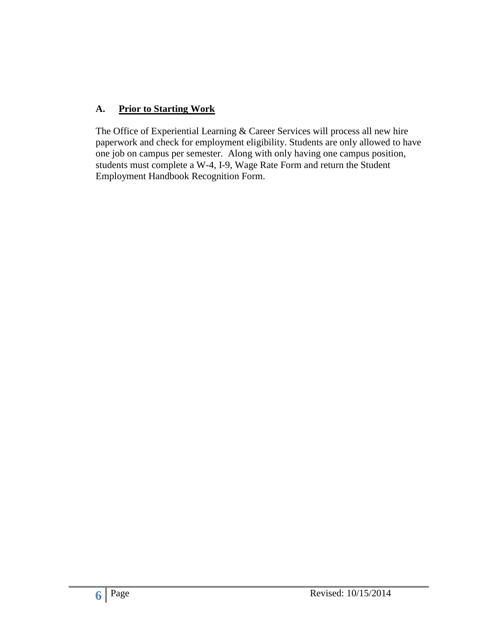### **A. Prior to Starting Work**

The Office of Experiential Learning & Career Services will process all new hire paperwork and check for employment eligibility. Students are only allowed to have one job on campus per semester. Along with only having one campus position, students must complete a W-4, I-9, Wage Rate Form and return the Student Employment Handbook Recognition Form.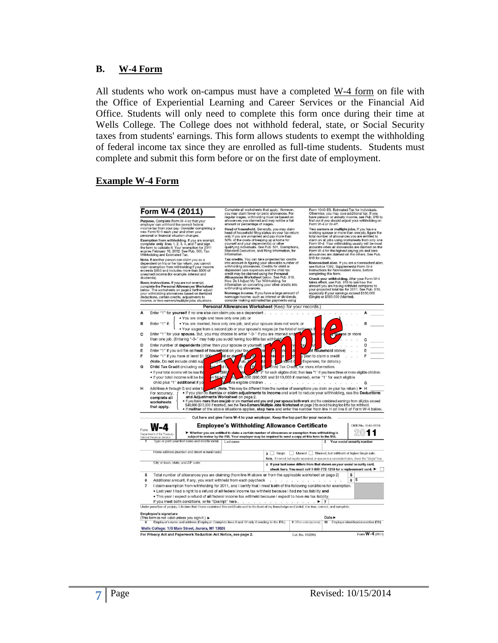#### **B. W-4 Form**

All students who work on-campus must have a completed W-4 form on file with the Office of Experiential Learning and Career Services or the Financial Aid Office. Students will only need to complete this form once during their time at Wells College. The College does not withhold federal, state, or Social Security taxes from students' earnings. This form allows students to exempt the withholding of federal income tax since they are enrolled as full-time students. Students must complete and submit this form before or on the first date of employment.

#### **Example W-4 Form**

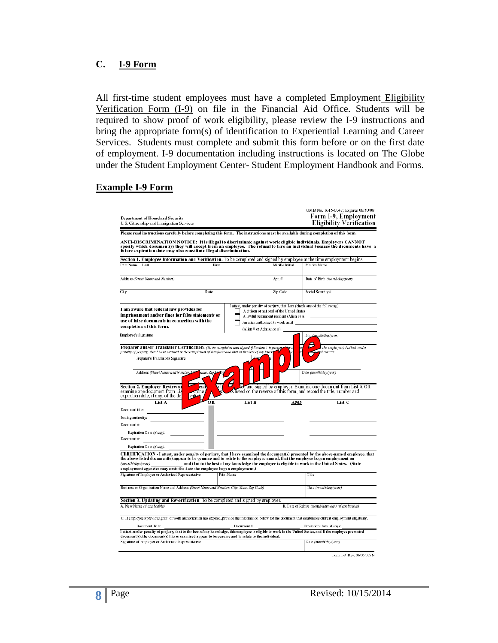#### **C. I-9 Form**

All first-time student employees must have a completed Employment Eligibility Verification Form (I-9) on file in the Financial Aid Office. Students will be required to show proof of work eligibility, please review the I-9 instructions and bring the appropriate form(s) of identification to Experiential Learning and Career Services. Students must complete and submit this form before or on the first date of employment. I-9 documentation including instructions is located on The Globe under the Student Employment Center- Student Employment Handbook and Forms.

#### **Example I-9 Form**

| <b>Department of Homeland Security</b><br>U.S. Citizenship and Immigration Services                                                                                                                                                                                                                                                        |                                                                                                                           |                | OMB No. 1615-0047; Expires 06/30/08<br>Form I-9, Employment<br><b>Eligibility Verification</b> |
|--------------------------------------------------------------------------------------------------------------------------------------------------------------------------------------------------------------------------------------------------------------------------------------------------------------------------------------------|---------------------------------------------------------------------------------------------------------------------------|----------------|------------------------------------------------------------------------------------------------|
| Please read instructions carefully before completing this form. The instructions must be available during completion of this form.                                                                                                                                                                                                         |                                                                                                                           |                |                                                                                                |
| ANTI-DISCRIMINATION NOTICE: It is illegal to discriminate against work eligible individuals. Employers CANNOT<br>specify which document(s) they will accept from an employee. The refusal to hire an individual because the documents have a<br>future expiration date may also constitute illegal discrimination.                         |                                                                                                                           |                |                                                                                                |
| Section 1. Employee Information and Verification. To be completed and signed by employee at the time employment begins.                                                                                                                                                                                                                    |                                                                                                                           |                |                                                                                                |
| Print Name: Last<br>First                                                                                                                                                                                                                                                                                                                  |                                                                                                                           | Middle Initial | Mai den Name                                                                                   |
| Address (Street Name and Number)                                                                                                                                                                                                                                                                                                           | Apt. #                                                                                                                    |                | Date of Birth (month/day/year)                                                                 |
| City<br>State                                                                                                                                                                                                                                                                                                                              | Zip Code                                                                                                                  |                | Social Security #                                                                              |
| I am aware that federal law provides for                                                                                                                                                                                                                                                                                                   | I attest, under penalty of perjury, that I am (check one of the following):<br>A citizen or national of the United States |                |                                                                                                |
| imprisonment and/or fines for false statements or                                                                                                                                                                                                                                                                                          | A lawful permanent resident (Alien #) A                                                                                   |                |                                                                                                |
| use of false documents in connection with the                                                                                                                                                                                                                                                                                              | An alien authorized to work until                                                                                         |                |                                                                                                |
| completion of this form.                                                                                                                                                                                                                                                                                                                   | (Alien # or Admission #)                                                                                                  |                |                                                                                                |
| Employee's Signature                                                                                                                                                                                                                                                                                                                       |                                                                                                                           |                | Date (month/day/year)                                                                          |
| Preparer and/or Translator Certification. (To be completed and signed if Section 1 is prepar<br>penalty of perjury, that I have assisted in the completion of this form and that to the best of my know.                                                                                                                                   |                                                                                                                           |                | the employee.) I attest, under<br>id correct.                                                  |
| Preparer's/Translator's Signature                                                                                                                                                                                                                                                                                                          |                                                                                                                           |                |                                                                                                |
| Address (Street Name and Number, Ca<br>State, Zip.                                                                                                                                                                                                                                                                                         |                                                                                                                           |                | Date (month/day/year)                                                                          |
| <b>Section 2. Employer Review an</b><br>ati                                                                                                                                                                                                                                                                                                |                                                                                                                           |                | ted and signed by employer. Examine one document from List A OR                                |
| rone<br>entís                                                                                                                                                                                                                                                                                                                              |                                                                                                                           |                | s listed on the reverse of this form, and record the title, number and                         |
| List A<br>OR                                                                                                                                                                                                                                                                                                                               | List B                                                                                                                    | AND            | List C                                                                                         |
|                                                                                                                                                                                                                                                                                                                                            |                                                                                                                           |                |                                                                                                |
|                                                                                                                                                                                                                                                                                                                                            |                                                                                                                           |                |                                                                                                |
|                                                                                                                                                                                                                                                                                                                                            |                                                                                                                           |                |                                                                                                |
| Expiration Date (if any):                                                                                                                                                                                                                                                                                                                  |                                                                                                                           |                |                                                                                                |
| examine one document from Lis<br>expiration date, if any, of the do<br>Document title:<br>Issuing authority:<br>Document #:<br>Document#:                                                                                                                                                                                                  |                                                                                                                           |                |                                                                                                |
| Expiration Date (if any):                                                                                                                                                                                                                                                                                                                  |                                                                                                                           |                |                                                                                                |
| CERTIFICATION - I attest, under penalty of perjury, that I have examined the document(s) presented by the above-named employee, that<br>the above-listed document(s) appear to be genuine and to relate to the employee named, that the employee began employment on<br>(month/day/year)                                                   | and that to the best of my knowledge the employee is eligible to work in the United States. (State                        |                |                                                                                                |
|                                                                                                                                                                                                                                                                                                                                            | <b>Print Name</b>                                                                                                         |                | Title                                                                                          |
|                                                                                                                                                                                                                                                                                                                                            |                                                                                                                           |                | Date (month/daw/year)                                                                          |
|                                                                                                                                                                                                                                                                                                                                            |                                                                                                                           |                |                                                                                                |
| employment agencies may omit the date the employee began employment.)<br>Signature of Employer or Authorized Representative<br>Business or Organization Name and Address (Street Name and Number, City, State, Zip Code)<br>Section 3. Updating and Reverification. To be completed and signed by employer.<br>A. New Name (if applicable) |                                                                                                                           |                | B. Date of Rehire (month/day/year) (if applicable)                                             |
| C. If employee's previous grant of work authorization has expired, provide the information below for the document that establishes current employment eligibility.                                                                                                                                                                         |                                                                                                                           |                |                                                                                                |
| Document Title:                                                                                                                                                                                                                                                                                                                            | Document#:                                                                                                                |                | Expiration Date (if any):                                                                      |
| I attest, under penalty of perjury, that to the best of my knowledge, this employee is eligible to work in the United States, and if the employee presented<br>document(s), the document(s) I have examined appear to be genuine and to relate to the individual.                                                                          |                                                                                                                           |                |                                                                                                |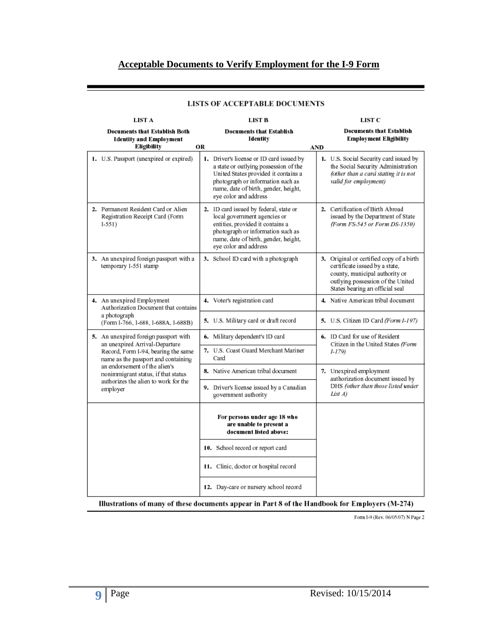#### **Acceptable Documents to Verify Employment for the I-9 Form**

| LIST A                                                                                |    | LIST B                                                                                                                                                                                                                          |     | LIST C                                                                                                                                                                               |
|---------------------------------------------------------------------------------------|----|---------------------------------------------------------------------------------------------------------------------------------------------------------------------------------------------------------------------------------|-----|--------------------------------------------------------------------------------------------------------------------------------------------------------------------------------------|
| <b>Documents that Establish Both</b><br><b>Identity and Employment</b><br>Eligibility | OR | <b>Documents that Establish</b><br>Identity                                                                                                                                                                                     | AND | <b>Documents that Establish</b><br><b>Employment Eligibility</b>                                                                                                                     |
| 1. U.S. Passport (unexpired or expired)                                               |    | 1. Driver's license or ID card issued by<br>a state or outlying possession of the<br>United States provided it contains a<br>photograph or information such as<br>name, date of birth, gender, height,<br>eye color and address |     | 1. U.S. Social Security card issued by<br>the Social Security Administration<br>(other than a card stating it is not<br>valid for employment)                                        |
| 2. Permanent Resident Card or Alien<br>Registration Receipt Card (Form<br>$1-551)$    |    | 2. ID card issued by federal, state or<br>local government agencies or<br>entities, provided it contains a<br>photograph or information such as<br>name, date of birth, gender, height,<br>eye color and address                |     | 2. Certification of Birth Abroad<br>issued by the Department of State<br>(Form FS-545 or Form DS-1350)                                                                               |
| 3. An unexpired foreign passport with a<br>temporary I-551 stamp                      |    | 3. School ID card with a photograph                                                                                                                                                                                             |     | 3. Original or certified copy of a birth<br>certificate issued by a state,<br>county, municipal authority or<br>outlying possession of the United<br>States bearing an official seal |
| 4. An unexpired Employment<br>Authorization Document that contains                    |    | 4. Voter's registration card                                                                                                                                                                                                    |     | 4. Native American tribal document                                                                                                                                                   |
| a photograph<br>(Form I-766, I-688, I-688A, I-688B)                                   |    | 5. U.S. Military card or draft record                                                                                                                                                                                           |     | <b>5.</b> U.S. Citizen ID Card (Form I-197)                                                                                                                                          |
| 5. An unexpired foreign passport with<br>an unexpired Arrival-Departure               |    | 6. Military dependent's ID card                                                                                                                                                                                                 |     | 6. ID Card for use of Resident<br>Citizen in the United States (Form                                                                                                                 |
| Record, Form I-94, bearing the same<br>name as the passport and containing            |    | 7. U.S. Coast Guard Merchant Mariner<br>Card                                                                                                                                                                                    |     | I-179)                                                                                                                                                                               |
| an endorsement of the alien's<br>nonimmigrant status, if that status                  |    | 8. Native American tribal document                                                                                                                                                                                              |     | 7. Unexpired employment<br>authorization document issued by                                                                                                                          |
| authorizes the alien to work for the<br>employer                                      |    | 9. Driver's license issued by a Canadian<br>government authority                                                                                                                                                                |     | DHS (other than those listed under<br>List A)                                                                                                                                        |
|                                                                                       |    | For persons under age 18 who<br>are unable to present a<br>document listed above:                                                                                                                                               |     |                                                                                                                                                                                      |
|                                                                                       |    | 10. School record or report card                                                                                                                                                                                                |     |                                                                                                                                                                                      |
|                                                                                       |    | 11. Clinic, doctor or hospital record                                                                                                                                                                                           |     |                                                                                                                                                                                      |
|                                                                                       |    | 12. Day-care or nursery school record                                                                                                                                                                                           |     |                                                                                                                                                                                      |

#### LISTS OF ACCEPTABLE DOCUMENTS

Illustrations of many of these documents appear in Part 8 of the Handbook for Employers (M-274)

Form I-9 (Rev. 06/05/07) N Page 2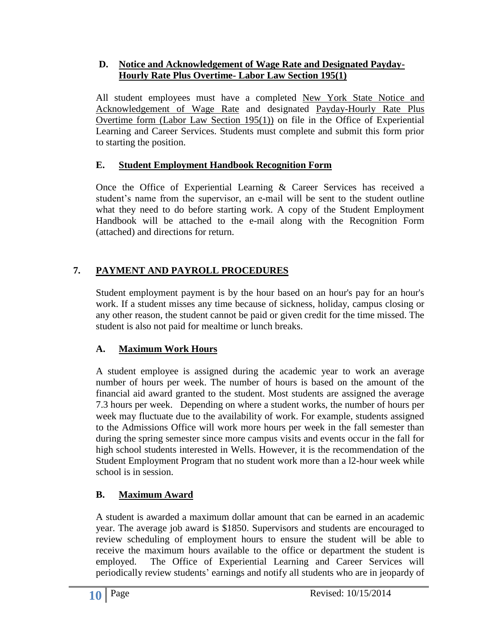#### **D. Notice and Acknowledgement of Wage Rate and Designated Payday-Hourly Rate Plus Overtime- Labor Law Section 195(1)**

All student employees must have a completed New York State Notice and Acknowledgement of Wage Rate and designated Payday-Hourly Rate Plus Overtime form (Labor Law Section 195(1)) on file in the Office of Experiential Learning and Career Services. Students must complete and submit this form prior to starting the position.

### **E. Student Employment Handbook Recognition Form**

Once the Office of Experiential Learning & Career Services has received a student's name from the supervisor, an e-mail will be sent to the student outline what they need to do before starting work. A copy of the Student Employment Handbook will be attached to the e-mail along with the Recognition Form (attached) and directions for return.

### **7. PAYMENT AND PAYROLL PROCEDURES**

Student employment payment is by the hour based on an hour's pay for an hour's work. If a student misses any time because of sickness, holiday, campus closing or any other reason, the student cannot be paid or given credit for the time missed. The student is also not paid for mealtime or lunch breaks.

### **A. Maximum Work Hours**

A student employee is assigned during the academic year to work an average number of hours per week. The number of hours is based on the amount of the financial aid award granted to the student. Most students are assigned the average 7.3 hours per week. Depending on where a student works, the number of hours per week may fluctuate due to the availability of work. For example, students assigned to the Admissions Office will work more hours per week in the fall semester than during the spring semester since more campus visits and events occur in the fall for high school students interested in Wells. However, it is the recommendation of the Student Employment Program that no student work more than a l2-hour week while school is in session.

### **B. Maximum Award**

A student is awarded a maximum dollar amount that can be earned in an academic year. The average job award is \$1850. Supervisors and students are encouraged to review scheduling of employment hours to ensure the student will be able to receive the maximum hours available to the office or department the student is employed. The Office of Experiential Learning and Career Services will periodically review students' earnings and notify all students who are in jeopardy of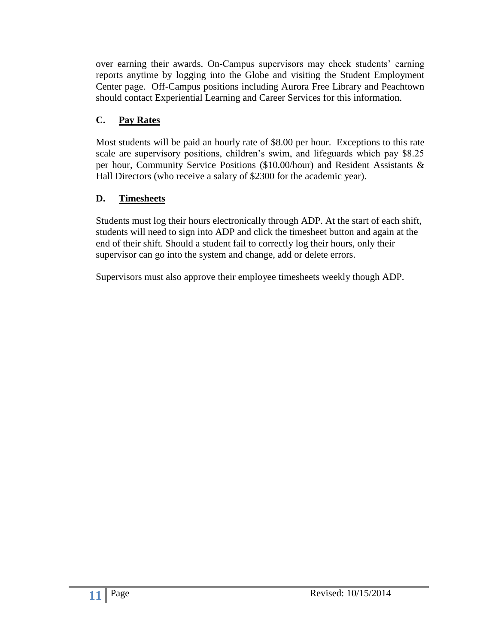over earning their awards. On-Campus supervisors may check students' earning reports anytime by logging into the Globe and visiting the Student Employment Center page. Off-Campus positions including Aurora Free Library and Peachtown should contact Experiential Learning and Career Services for this information.

### **C. Pay Rates**

Most students will be paid an hourly rate of \$8.00 per hour. Exceptions to this rate scale are supervisory positions, children's swim, and lifeguards which pay \$8.25 per hour, Community Service Positions (\$10.00/hour) and Resident Assistants & Hall Directors (who receive a salary of \$2300 for the academic year).

### **D. Timesheets**

Students must log their hours electronically through ADP. At the start of each shift, students will need to sign into ADP and click the timesheet button and again at the end of their shift. Should a student fail to correctly log their hours, only their supervisor can go into the system and change, add or delete errors.

Supervisors must also approve their employee timesheets weekly though ADP.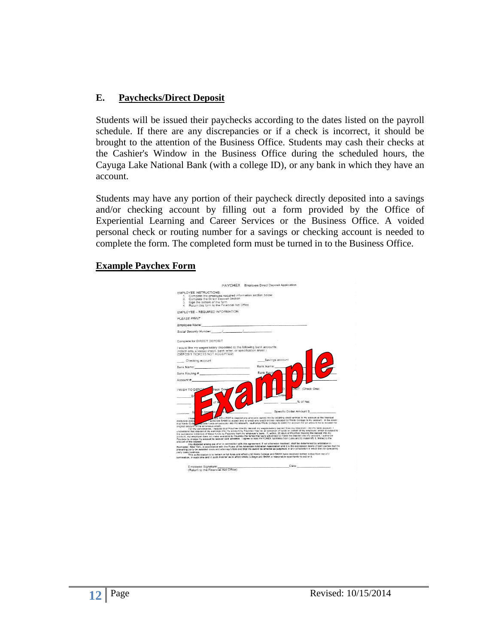#### **E. Paychecks/Direct Deposit**

Students will be issued their paychecks according to the dates listed on the payroll schedule. If there are any discrepancies or if a check is incorrect, it should be brought to the attention of the Business Office. Students may cash their checks at the Cashier's Window in the Business Office during the scheduled hours, the Cayuga Lake National Bank (with a college ID), or any bank in which they have an account.

Students may have any portion of their paycheck directly deposited into a savings and/or checking account by filling out a form provided by the Office of Experiential Learning and Career Services or the Business Office. A voided personal check or routing number for a savings or checking account is needed to complete the form. The completed form must be turned in to the Business Office.

#### **Example Paychex Form**

|                                         |                                                                                                                                                                                                                                | PAYCHEX Employee Direct Deposit Application |                                                                                                                                                                                                                                                                                                                                                                                                                                                                                                                                                                                                                                                                                                       |  |
|-----------------------------------------|--------------------------------------------------------------------------------------------------------------------------------------------------------------------------------------------------------------------------------|---------------------------------------------|-------------------------------------------------------------------------------------------------------------------------------------------------------------------------------------------------------------------------------------------------------------------------------------------------------------------------------------------------------------------------------------------------------------------------------------------------------------------------------------------------------------------------------------------------------------------------------------------------------------------------------------------------------------------------------------------------------|--|
|                                         | <b>EMPLOYEE INSTRUCTIONS:</b><br>1. Complete the employee required information section below<br>2. Complete the Direct Deposit Section<br>3. Sign the bottom of the form                                                       |                                             |                                                                                                                                                                                                                                                                                                                                                                                                                                                                                                                                                                                                                                                                                                       |  |
|                                         | 4 Return this form to the Financial Aid Office                                                                                                                                                                                 |                                             |                                                                                                                                                                                                                                                                                                                                                                                                                                                                                                                                                                                                                                                                                                       |  |
|                                         | FMPLOYEE - REQUIRED INFORMATION                                                                                                                                                                                                |                                             |                                                                                                                                                                                                                                                                                                                                                                                                                                                                                                                                                                                                                                                                                                       |  |
| PLEASE PRINT                            |                                                                                                                                                                                                                                |                                             |                                                                                                                                                                                                                                                                                                                                                                                                                                                                                                                                                                                                                                                                                                       |  |
|                                         | Employee Name: Manner State And The Commission of the Commission of the Commission of the Commission of the Commission of the Commission of the Commission of the Commission of the Commission of the Commission of the Commis |                                             |                                                                                                                                                                                                                                                                                                                                                                                                                                                                                                                                                                                                                                                                                                       |  |
|                                         |                                                                                                                                                                                                                                |                                             |                                                                                                                                                                                                                                                                                                                                                                                                                                                                                                                                                                                                                                                                                                       |  |
|                                         | Complete for DIRECT DEPOSIT                                                                                                                                                                                                    |                                             |                                                                                                                                                                                                                                                                                                                                                                                                                                                                                                                                                                                                                                                                                                       |  |
|                                         | I would like my wages/salary deposited to the following bank accounts:<br>(Attach only a voided check, bank letter, or specification sheet.)<br>(DEPOSIT TICKETS NOT ACCEPTED)                                                 |                                             |                                                                                                                                                                                                                                                                                                                                                                                                                                                                                                                                                                                                                                                                                                       |  |
|                                         | Checking account                                                                                                                                                                                                               | Savinos account                             |                                                                                                                                                                                                                                                                                                                                                                                                                                                                                                                                                                                                                                                                                                       |  |
|                                         | Bank Name: Management All Andrews Company and Company and Company and Company and Company and Company and Company and Company and Company and Company and Company and Company and Company and Company and Company and Company  | Bank Name:                                  |                                                                                                                                                                                                                                                                                                                                                                                                                                                                                                                                                                                                                                                                                                       |  |
|                                         |                                                                                                                                                                                                                                | <b>Bank Routi</b>                           |                                                                                                                                                                                                                                                                                                                                                                                                                                                                                                                                                                                                                                                                                                       |  |
|                                         | Account #<br>heck One.<br>I WISH TO DEPOS                                                                                                                                                                                      |                                             | SIT: (Check One)                                                                                                                                                                                                                                                                                                                                                                                                                                                                                                                                                                                                                                                                                      |  |
|                                         | of                                                                                                                                                                                                                             |                                             | % of Net                                                                                                                                                                                                                                                                                                                                                                                                                                                                                                                                                                                                                                                                                              |  |
|                                         | S.                                                                                                                                                                                                                             |                                             | Specific Dollar Amount \$                                                                                                                                                                                                                                                                                                                                                                                                                                                                                                                                                                                                                                                                             |  |
| institution indical<br>that Wells Colle | I here<br>original amount of the erroneous credit.                                                                                                                                                                             |                                             | COLLEGE to deposit any amounts owned me by initiating credit entries to my account at the financial<br>authorize BANK to accept and to credit any credit entries indicated by Wells College to my account. In the event<br>coalls funds emoneously into my account, I authorize Wells College to debit my account for an amount not to exceed the                                                                                                                                                                                                                                                                                                                                                     |  |
| amount of the deposit.                  |                                                                                                                                                                                                                                |                                             | For my convenience, I request that Paychex directly deposit my wages/salary earned from my employer, into my bank account. I<br>understand that deposit of my earnings into my account by Paychex may be an advance of funds on behalf of my employer, which is subsect to<br>the successful collection of these funds by Paychex from my employer's bank. If, within, 30 days of Paychex making the deposit into my<br>account, my employer does not make available to Paychex the funds that were advanced to make the deposit into my account. I authorize<br>Paychex to charge my account to recover said advance. I agree to hold PAYCHEX harmless from Loss and to indemnify it. limited to the |  |
| party does business.                    |                                                                                                                                                                                                                                |                                             | Any disputed arising out of or in connection with this agreement. If not otherwise resolved, shall be determined by arbitration in<br>Rochester, New York, in accordance with the Rules of the American Arbitration Association and it is the expressed desire of both parties that the<br>prevailing party be awarded costs and attorney's fees and that the award be entered as judgment in any jurisdiction in which the non-prevailing                                                                                                                                                                                                                                                            |  |
|                                         | termination, in such time and in such manner as to afford Wells College and BANK a reasonable opportunity to act on it.                                                                                                        |                                             | This authorization is to remain in full force and effect until Wells College and BANK have received written notice from me of it                                                                                                                                                                                                                                                                                                                                                                                                                                                                                                                                                                      |  |
|                                         | Employee Signature:                                                                                                                                                                                                            |                                             | Date: <b>Date:</b> Partnership                                                                                                                                                                                                                                                                                                                                                                                                                                                                                                                                                                                                                                                                        |  |
|                                         | (Return to the Financial Aid Office)                                                                                                                                                                                           |                                             |                                                                                                                                                                                                                                                                                                                                                                                                                                                                                                                                                                                                                                                                                                       |  |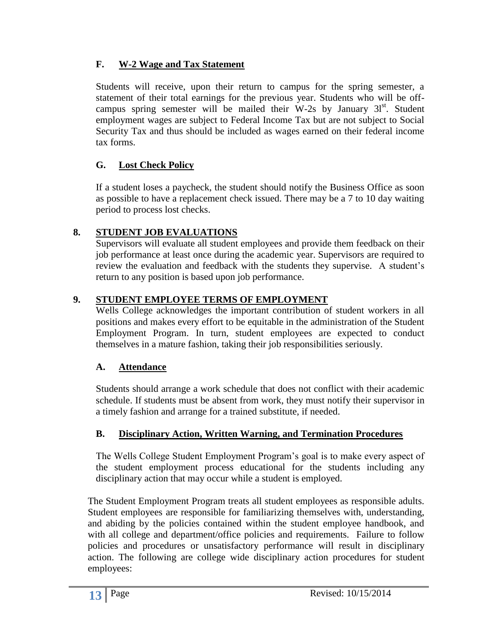### **F. W-2 Wage and Tax Statement**

Students will receive, upon their return to campus for the spring semester, a statement of their total earnings for the previous year. Students who will be offcampus spring semester will be mailed their W-2s by January  $31<sup>st</sup>$ . Student employment wages are subject to Federal Income Tax but are not subject to Social Security Tax and thus should be included as wages earned on their federal income tax forms.

### **G. Lost Check Policy**

If a student loses a paycheck, the student should notify the Business Office as soon as possible to have a replacement check issued. There may be a 7 to 10 day waiting period to process lost checks.

### **8. STUDENT JOB EVALUATIONS**

Supervisors will evaluate all student employees and provide them feedback on their job performance at least once during the academic year. Supervisors are required to review the evaluation and feedback with the students they supervise. A student's return to any position is based upon job performance.

### **9. STUDENT EMPLOYEE TERMS OF EMPLOYMENT**

Wells College acknowledges the important contribution of student workers in all positions and makes every effort to be equitable in the administration of the Student Employment Program. In turn, student employees are expected to conduct themselves in a mature fashion, taking their job responsibilities seriously.

### **A. Attendance**

Students should arrange a work schedule that does not conflict with their academic schedule. If students must be absent from work, they must notify their supervisor in a timely fashion and arrange for a trained substitute, if needed.

### **B. Disciplinary Action, Written Warning, and Termination Procedures**

The Wells College Student Employment Program's goal is to make every aspect of the student employment process educational for the students including any disciplinary action that may occur while a student is employed.

The Student Employment Program treats all student employees as responsible adults. Student employees are responsible for familiarizing themselves with, understanding, and abiding by the policies contained within the student employee handbook, and with all college and department/office policies and requirements. Failure to follow policies and procedures or unsatisfactory performance will result in disciplinary action. The following are college wide disciplinary action procedures for student employees: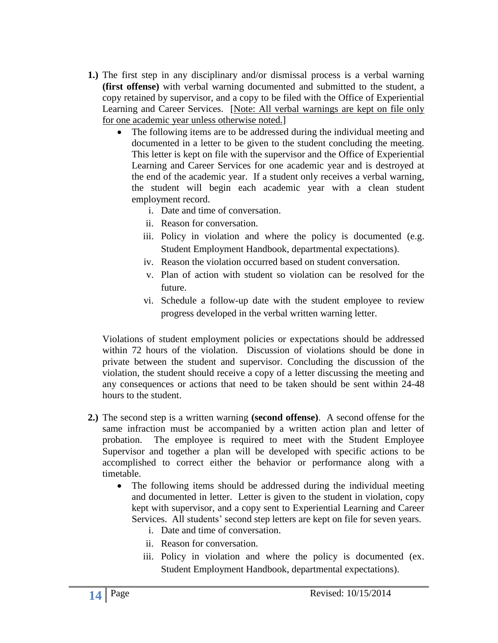- **1.)** The first step in any disciplinary and/or dismissal process is a verbal warning **(first offense)** with verbal warning documented and submitted to the student, a copy retained by supervisor, and a copy to be filed with the Office of Experiential Learning and Career Services. [Note: All verbal warnings are kept on file only for one academic year unless otherwise noted.]
	- The following items are to be addressed during the individual meeting and documented in a letter to be given to the student concluding the meeting. This letter is kept on file with the supervisor and the Office of Experiential Learning and Career Services for one academic year and is destroyed at the end of the academic year. If a student only receives a verbal warning, the student will begin each academic year with a clean student employment record.
		- i. Date and time of conversation.
		- ii. Reason for conversation.
		- iii. Policy in violation and where the policy is documented (e.g. Student Employment Handbook, departmental expectations).
		- iv. Reason the violation occurred based on student conversation.
		- v. Plan of action with student so violation can be resolved for the future.
		- vi. Schedule a follow-up date with the student employee to review progress developed in the verbal written warning letter.

Violations of student employment policies or expectations should be addressed within 72 hours of the violation. Discussion of violations should be done in private between the student and supervisor. Concluding the discussion of the violation, the student should receive a copy of a letter discussing the meeting and any consequences or actions that need to be taken should be sent within 24-48 hours to the student.

- **2.)** The second step is a written warning **(second offense)**. A second offense for the same infraction must be accompanied by a written action plan and letter of probation. The employee is required to meet with the Student Employee Supervisor and together a plan will be developed with specific actions to be accomplished to correct either the behavior or performance along with a timetable.
	- The following items should be addressed during the individual meeting and documented in letter. Letter is given to the student in violation, copy kept with supervisor, and a copy sent to Experiential Learning and Career Services. All students' second step letters are kept on file for seven years.
		- i. Date and time of conversation.
		- ii. Reason for conversation.
		- iii. Policy in violation and where the policy is documented (ex. Student Employment Handbook, departmental expectations).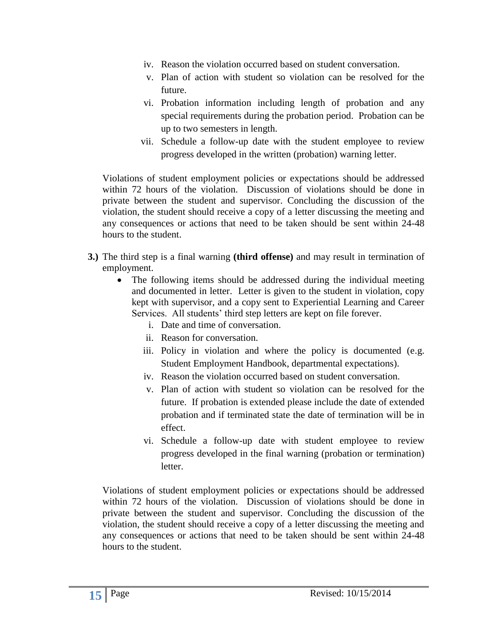- iv. Reason the violation occurred based on student conversation.
- v. Plan of action with student so violation can be resolved for the future.
- vi. Probation information including length of probation and any special requirements during the probation period. Probation can be up to two semesters in length.
- vii. Schedule a follow-up date with the student employee to review progress developed in the written (probation) warning letter.

Violations of student employment policies or expectations should be addressed within 72 hours of the violation. Discussion of violations should be done in private between the student and supervisor. Concluding the discussion of the violation, the student should receive a copy of a letter discussing the meeting and any consequences or actions that need to be taken should be sent within 24-48 hours to the student.

- **3.)** The third step is a final warning **(third offense)** and may result in termination of employment.
	- The following items should be addressed during the individual meeting and documented in letter. Letter is given to the student in violation, copy kept with supervisor, and a copy sent to Experiential Learning and Career Services. All students' third step letters are kept on file forever.
		- i. Date and time of conversation.
		- ii. Reason for conversation.
		- iii. Policy in violation and where the policy is documented (e.g. Student Employment Handbook, departmental expectations).
		- iv. Reason the violation occurred based on student conversation.
		- v. Plan of action with student so violation can be resolved for the future. If probation is extended please include the date of extended probation and if terminated state the date of termination will be in effect.
		- vi. Schedule a follow-up date with student employee to review progress developed in the final warning (probation or termination) letter.

Violations of student employment policies or expectations should be addressed within 72 hours of the violation. Discussion of violations should be done in private between the student and supervisor. Concluding the discussion of the violation, the student should receive a copy of a letter discussing the meeting and any consequences or actions that need to be taken should be sent within 24-48 hours to the student.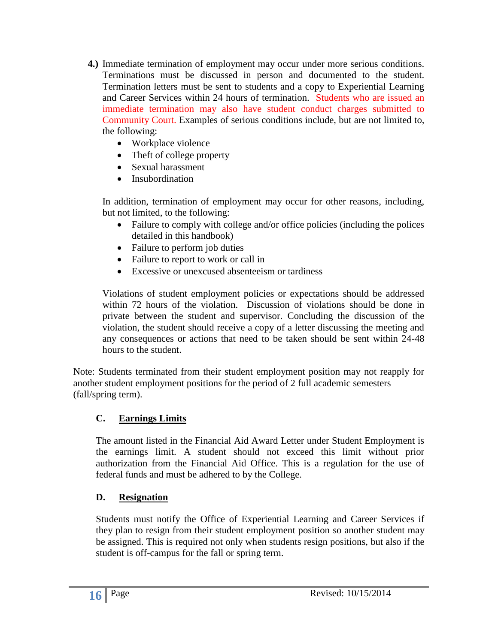- **4.)** Immediate termination of employment may occur under more serious conditions. Terminations must be discussed in person and documented to the student. Termination letters must be sent to students and a copy to Experiential Learning and Career Services within 24 hours of termination. Students who are issued an immediate termination may also have student conduct charges submitted to Community Court. Examples of serious conditions include, but are not limited to, the following:
	- Workplace violence
	- Theft of college property
	- Sexual harassment
	- Insubordination

In addition, termination of employment may occur for other reasons, including, but not limited, to the following:

- Failure to comply with college and/or office policies (including the polices detailed in this handbook)
- Failure to perform job duties
- Failure to report to work or call in
- Excessive or unexcused absenteeism or tardiness

Violations of student employment policies or expectations should be addressed within 72 hours of the violation. Discussion of violations should be done in private between the student and supervisor. Concluding the discussion of the violation, the student should receive a copy of a letter discussing the meeting and any consequences or actions that need to be taken should be sent within 24-48 hours to the student.

Note: Students terminated from their student employment position may not reapply for another student employment positions for the period of 2 full academic semesters (fall/spring term).

#### **C. Earnings Limits**

The amount listed in the Financial Aid Award Letter under Student Employment is the earnings limit. A student should not exceed this limit without prior authorization from the Financial Aid Office. This is a regulation for the use of federal funds and must be adhered to by the College.

#### **D. Resignation**

Students must notify the Office of Experiential Learning and Career Services if they plan to resign from their student employment position so another student may be assigned. This is required not only when students resign positions, but also if the student is off-campus for the fall or spring term.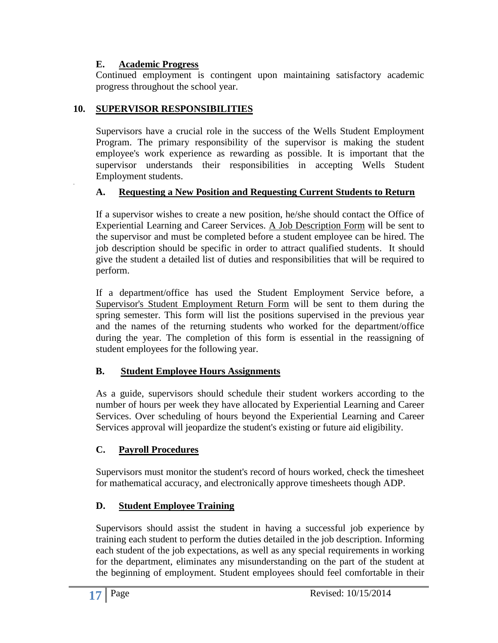#### **E. Academic Progress**

-

Continued employment is contingent upon maintaining satisfactory academic progress throughout the school year.

#### **10. SUPERVISOR RESPONSIBILITIES**

Supervisors have a crucial role in the success of the Wells Student Employment Program. The primary responsibility of the supervisor is making the student employee's work experience as rewarding as possible. It is important that the supervisor understands their responsibilities in accepting Wells Student Employment students.

#### **A. Requesting a New Position and Requesting Current Students to Return**

If a supervisor wishes to create a new position, he/she should contact the Office of Experiential Learning and Career Services. A Job Description Form will be sent to the supervisor and must be completed before a student employee can be hired. The job description should be specific in order to attract qualified students. It should give the student a detailed list of duties and responsibilities that will be required to perform.

If a department/office has used the Student Employment Service before, a Supervisor's Student Employment Return Form will be sent to them during the spring semester. This form will list the positions supervised in the previous year and the names of the returning students who worked for the department/office during the year. The completion of this form is essential in the reassigning of student employees for the following year.

### **B. Student Employee Hours Assignments**

As a guide, supervisors should schedule their student workers according to the number of hours per week they have allocated by Experiential Learning and Career Services. Over scheduling of hours beyond the Experiential Learning and Career Services approval will jeopardize the student's existing or future aid eligibility.

### **C. Payroll Procedures**

Supervisors must monitor the student's record of hours worked, check the timesheet for mathematical accuracy, and electronically approve timesheets though ADP.

### **D. Student Employee Training**

Supervisors should assist the student in having a successful job experience by training each student to perform the duties detailed in the job description. Informing each student of the job expectations, as well as any special requirements in working for the department, eliminates any misunderstanding on the part of the student at the beginning of employment. Student employees should feel comfortable in their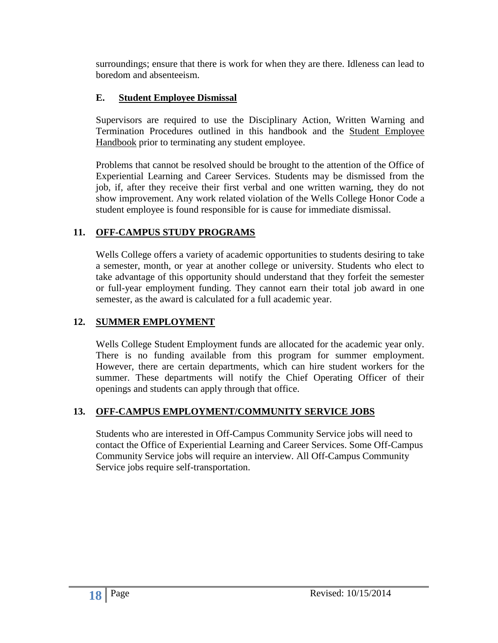surroundings; ensure that there is work for when they are there. Idleness can lead to boredom and absenteeism.

### **E. Student Employee Dismissal**

Supervisors are required to use the Disciplinary Action, Written Warning and Termination Procedures outlined in this handbook and the Student Employee Handbook prior to terminating any student employee.

Problems that cannot be resolved should be brought to the attention of the Office of Experiential Learning and Career Services. Students may be dismissed from the job, if, after they receive their first verbal and one written warning, they do not show improvement. Any work related violation of the Wells College Honor Code a student employee is found responsible for is cause for immediate dismissal.

### **11. OFF-CAMPUS STUDY PROGRAMS**

Wells College offers a variety of academic opportunities to students desiring to take a semester, month, or year at another college or university. Students who elect to take advantage of this opportunity should understand that they forfeit the semester or full-year employment funding. They cannot earn their total job award in one semester, as the award is calculated for a full academic year.

### **12. SUMMER EMPLOYMENT**

Wells College Student Employment funds are allocated for the academic year only. There is no funding available from this program for summer employment. However, there are certain departments, which can hire student workers for the summer. These departments will notify the Chief Operating Officer of their openings and students can apply through that office.

#### **13. OFF-CAMPUS EMPLOYMENT/COMMUNITY SERVICE JOBS**

Students who are interested in Off-Campus Community Service jobs will need to contact the Office of Experiential Learning and Career Services. Some Off-Campus Community Service jobs will require an interview. All Off-Campus Community Service jobs require self-transportation.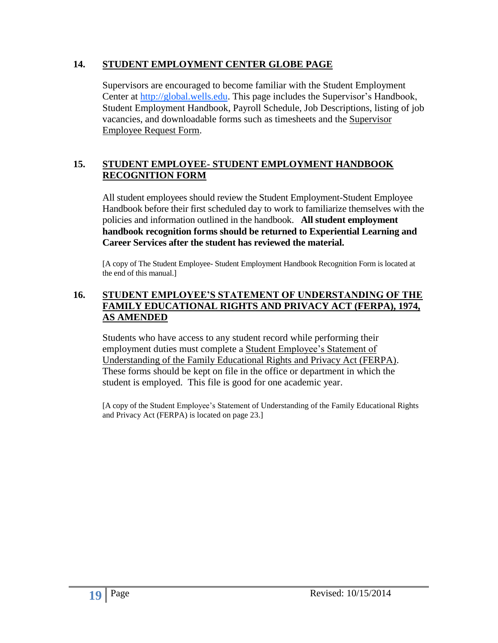#### **14. STUDENT EMPLOYMENT CENTER GLOBE PAGE**

Supervisors are encouraged to become familiar with the Student Employment Center at http://global.wells.edu. This page includes the Supervisor's Handbook, Student Employment Handbook, Payroll Schedule, Job Descriptions, listing of job vacancies, and downloadable forms such as timesheets and the Supervisor Employee Request Form.

#### **15. STUDENT EMPLOYEE- STUDENT EMPLOYMENT HANDBOOK RECOGNITION FORM**

All student employees should review the Student Employment-Student Employee Handbook before their first scheduled day to work to familiarize themselves with the policies and information outlined in the handbook. **All student employment handbook recognition forms should be returned to Experiential Learning and Career Services after the student has reviewed the material.**

[A copy of The Student Employee- Student Employment Handbook Recognition Form is located at the end of this manual.]

#### **16. STUDENT EMPLOYEE'S STATEMENT OF UNDERSTANDING OF THE FAMILY EDUCATIONAL RIGHTS AND PRIVACY ACT (FERPA), 1974, AS AMENDED**

Students who have access to any student record while performing their employment duties must complete a Student Employee's Statement of Understanding of the Family Educational Rights and Privacy Act (FERPA). These forms should be kept on file in the office or department in which the student is employed. This file is good for one academic year.

[A copy of the Student Employee's Statement of Understanding of the Family Educational Rights and Privacy Act (FERPA) is located on page 23.]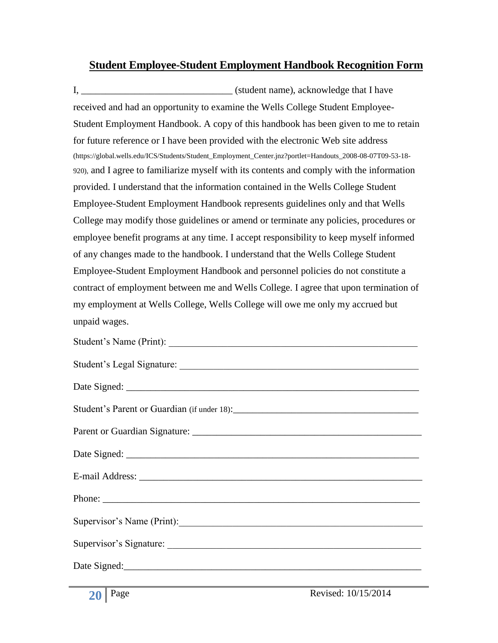### **Student Employee-Student Employment Handbook Recognition Form**

I, the same is student name), acknowledge that I have received and had an opportunity to examine the Wells College Student Employee-Student Employment Handbook. A copy of this handbook has been given to me to retain for future reference or I have been provided with the electronic Web site address (https://global.wells.edu/ICS/Students/Student\_Employment\_Center.jnz?portlet=Handouts\_2008-08-07T09-53-18- 920), and I agree to familiarize myself with its contents and comply with the information provided. I understand that the information contained in the Wells College Student Employee-Student Employment Handbook represents guidelines only and that Wells College may modify those guidelines or amend or terminate any policies, procedures or employee benefit programs at any time. I accept responsibility to keep myself informed of any changes made to the handbook. I understand that the Wells College Student Employee-Student Employment Handbook and personnel policies do not constitute a contract of employment between me and Wells College. I agree that upon termination of my employment at Wells College, Wells College will owe me only my accrued but unpaid wages.

| Student's Name (Print):    |
|----------------------------|
|                            |
|                            |
|                            |
|                            |
|                            |
|                            |
|                            |
| Supervisor's Name (Print): |
|                            |
|                            |
|                            |